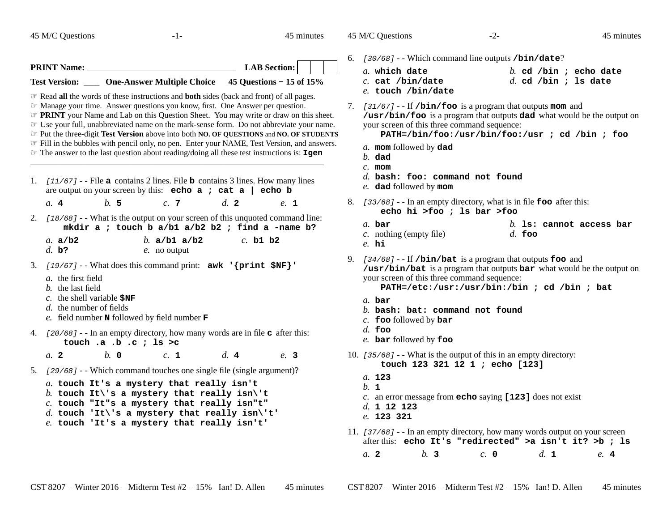45 M/C Questions

**PRINT Name:**

**\_\_\_**

 $-1-$  45

**Test Version: One-Answer Multiple Choice 45 Questions − 15 of 15%**

*The PRINT* your Name and Lab on this Question Sheet. You may write or draw on this sheet. The your full unabbreviated name on the mark-sense form. Do not abbreviate your name ☞ Use your full, unabbreviated name on the mark-sense form. Do not abbreviate your name. ☞ Put the three-digit **Test Version** above into both **NO. OF QUESTIONS** and **NO. OF STUDENTS** Fill in the bubbles with pencil only, no pen. Enter your NAME, Test Version, and answers. Fill in the bubbles with pencil only, no pen. Enter your NAME, Test Version, and answers. ☞ The answer to the last question about reading/doing all these test instructions is: **Igen**

 ☞ Read **all** the words of these instructions and **both** sides (back and front) of all pages. ☞ Manage your time. Answer questions you know, first. One Answer per question.

**LAB Section:**

45 minutes

45 M/C Questions

 $-2-$  45

45 minutes

6. [30/68] --Which command line outputs **/bin/date**?

| a. which date      |  |  | b. cd /bin ; echo date |
|--------------------|--|--|------------------------|
| $c.$ cat /bin/date |  |  | $d.$ cd /bin ; ls date |
| e. touch /bin/date |  |  |                        |

7. [31/67] --If **/bin/foo** is a program that outputs **mom** and **/usr/bin/foo** is a program that outputs **dad** what would be the output on your screen of this three command sequence:

**PATH=/bin/foo:/usr/bin/foo:/usr ; cd /bin ; foo**

*a.* **mom** followed by **dad**

*b.* **dad**

- *c.* **mom**
- *d.* **bash: foo: command not found**

*e.* **dad** followed by **mom**

- 8. [33/68] - In an empty directory, what is in file **foo** after this: **echo hi >foo ; ls bar >foo**
	- *b.* **ls: cannot access bar** *a.* **bar**
	- *c.* nothing (empty file)*d.* **foo**
	- *e.* **hi**

9. [34/68] --If **/bin/bat** is a program that outputs **foo** and **/usr/bin/bat** is a program that outputs **bar** what would be the output on your screen of this three command sequence:

**PATH=/etc:/usr:/usr/bin:/bin ; cd /bin ; bat**

- *a.* **bar**
- *b.* **bash: bat: command not found**
- *c.* **foo** followed by **bar**
- *d.* **foo**
- *e.* **bar** followed by **foo**
- 10. [35/68] --What is the output of this in an empty directory: **touch 123 321 12 1 ; echo [123]**
	- *a.* **123***b.* **<sup>1</sup>** *c.* an error message from **echo** saying **[123]** does not exist *d.* **<sup>1</sup> <sup>12</sup> <sup>123</sup>**
	- *e.* **123 321**
- 11. [37/68] - In an empty directory, how many words output on your screen after this: **echo It's "redirected" >a isn't it? >b ; ls***a.* **<sup>2</sup>***b.* **<sup>3</sup>** *c.* **<sup>0</sup>** *d.* **<sup>1</sup>** *e.* **<sup>4</sup>**

1. [11/67] --File **<sup>a</sup>** contains 2 lines. File **<sup>b</sup>** contains 3 lines. How many lines are output on your screen by this: **echo a ; cat a | echo b** $e_{\perp}$  1 *a.* **<sup>4</sup>** *b.* **<sup>5</sup>** *c.* **<sup>7</sup>** *d.* **<sup>2</sup>** *e.* **<sup>1</sup>** 2. [18/68] --What is the output on your screen of this unquoted command line: **mkdir a ; touch b a/b1 a/b2 b2 ; find a -name b?***a.* **a/b2** *b.* **a/b1 a/b2** *c.* **b1 b2** *d.* **b?** *e.* no output 3. [19/67] --What does this command print: **awk '{print \$NF}'***a.* the first field *b.* the last field *c.* the shell variable **\$NF***d.* the number of fields *e.* field number **<sup>N</sup>** followed by field number **<sup>F</sup>** 4. [20/68] - - In an empty directory, how many words are in file **<sup>c</sup>** after this: **touch .a .b .c ; ls >c** $c<sub>1</sub>$ *a.* **<sup>2</sup>** *b.* **<sup>0</sup>** *c.* **<sup>1</sup>** *d.* **<sup>4</sup>** *e.* **<sup>3</sup>** 5. [29/68] --Which command touches one single file (single argument)? *a.* **touch It's a mystery that really isn't** *b.* **touch It\'s a mystery that really isn\'t** *c.* **touch "It"s a mystery that really isn"t"***d.* **touch 'It\'s a mystery that really isn\'t'**

*e.* **touch 'It's a mystery that really isn't'**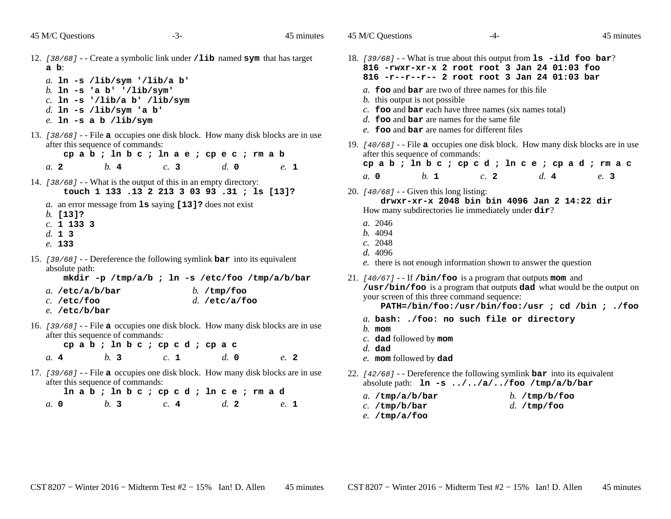45 M/C Questions

*a.* **0**

45 M/C Questions

18.

19.

| 12. [38/68] - - Create a symbolic link under / lib named sym that has target<br>$a b$ :                                                                               |  |  |  |  |  |  |  |  |
|-----------------------------------------------------------------------------------------------------------------------------------------------------------------------|--|--|--|--|--|--|--|--|
| a. $\ln$ -s /lib/sym '/lib/a b'<br>b. $\ln -s$ 'a b' '/lib/sym'<br>$c.$ ln -s '/lib/a b' /lib/sym<br>d. In -s /lib/sym 'a b'<br>$e$ . In -s a b /lib/sym              |  |  |  |  |  |  |  |  |
| 13. [38/68] - - File <b>a</b> occupies one disk block. How many disk blocks are in use<br>after this sequence of commands:<br>cpab; ln b c ; ln a e ; cp e c ; rm a b |  |  |  |  |  |  |  |  |
| $h$ 4<br>c.3<br>$d$ , 0<br>a. 2<br>e. 1                                                                                                                               |  |  |  |  |  |  |  |  |
| 14. [38/68] - - What is the output of this in an empty directory:<br>touch 1 133 .13 2 213 3 03 93 .31 ; ls [13]?                                                     |  |  |  |  |  |  |  |  |
| a. an error message from 1s saying [13]? does not exist<br>$b.$ [13]?<br>$c. 1$ 133 3<br>d. 13<br>e. 133                                                              |  |  |  |  |  |  |  |  |
| 15. [39/68] - - Dereference the following symlink $bar$ into its equivalent<br>absolute path:<br>mkdir -p /tmp/a/b ; ln -s /etc/foo /tmp/a/b/bar                      |  |  |  |  |  |  |  |  |
| a. $/etc/a/b/bar$<br>$b.$ /tmp/foo<br>$d.$ /etc/a/foo<br>$c.$ /etc/foo<br>$e.$ /etc/b/bar                                                                             |  |  |  |  |  |  |  |  |
| 16. [39/68] - - File a occupies one disk block. How many disk blocks are in use<br>after this sequence of commands:<br>cpab; ln b c ; cp c d ; cp a c                 |  |  |  |  |  |  |  |  |
| b.3<br>d. 0<br>c. 1<br>a.4<br>e. 2                                                                                                                                    |  |  |  |  |  |  |  |  |
| 17. [39/68] - - File a occupies one disk block. How many disk blocks are in use<br>after this sequence of commands:                                                   |  |  |  |  |  |  |  |  |

| <i>A</i> this sequence of communities. |  |                |  |     |  |  |                |  |      |  |
|----------------------------------------|--|----------------|--|-----|--|--|----------------|--|------|--|
| Inab; Inbe; cped; Ince; rmad           |  |                |  |     |  |  |                |  |      |  |
|                                        |  | h <sub>3</sub> |  | c.4 |  |  | d <sub>z</sub> |  | e. 1 |  |

| 45 M/C Questions                                                                                                                                                                                                                                                                                                                                                                                                                 | -4- |                        | 45 minutes |
|----------------------------------------------------------------------------------------------------------------------------------------------------------------------------------------------------------------------------------------------------------------------------------------------------------------------------------------------------------------------------------------------------------------------------------|-----|------------------------|------------|
| 18. [39/68] - - What is true about this output from $1s$ -ild foo bar?<br>816 - rwxr-xr-x 2 root root 3 Jan 24 01:03 foo<br>816 -r--r--r-- 2 root root 3 Jan 24 01:03 bar<br>a. foo and bar are two of three names for this file<br>$b$ . this output is not possible<br>$c$ . foo and bar each have three names (six names total)<br>d. foo and bar are names for the same file<br>e. foo and bar are names for different files |     |                        |            |
| 19. [40/68] - - File a occupies one disk block. How many disk blocks are in use<br>after this sequence of commands:<br>cpab; ln b c ; cp c d ; ln c e ; cp a d ; rm a c                                                                                                                                                                                                                                                          |     |                        |            |
| $h_{\perp}$<br>a, 0                                                                                                                                                                                                                                                                                                                                                                                                              | c.2 | $d_{\mathbf{r}}$ 4     | e. 3       |
| 20. $[40/68]$ - Given this long listing:<br>drwxr-xr-x 2048 bin bin 4096 Jan 2 14:22 dir<br>How many subdirectories lie immediately under dir?<br>a. 2046<br>b.4094<br>c. 2048<br>d. 4096<br>e. there is not enough information shown to answer the question                                                                                                                                                                     |     |                        |            |
| 21. $[40/67]$ - - If /bin/foo is a program that outputs mom and<br>/usr/bin/foo is a program that outputs dad what would be the output on<br>your screen of this three command sequence:<br>PATH=/bin/foo:/usr/bin/foo:/usr ; cd /bin ; ./foo                                                                                                                                                                                    |     |                        |            |
| a. bash: ./foo: no such file or directory<br>$h$ . mom<br>$c$ . dad followed by mom<br>$d.$ dad<br>e. mom followed by dad                                                                                                                                                                                                                                                                                                        |     |                        |            |
| 22. [42/68] - - Dereference the following symlink <b>bar</b> into its equivalent<br>absolute path: ln -s //a//foo /tmp/a/b/bar                                                                                                                                                                                                                                                                                                   |     |                        |            |
| $a.$ /tmp/a/b/bar                                                                                                                                                                                                                                                                                                                                                                                                                |     | b. $/\text{tmp/b/foo}$ |            |

*d.* **/tmp/foo**

22.

*c.* **/tmp/b/bar**

*e.* **/tmp/a/foo**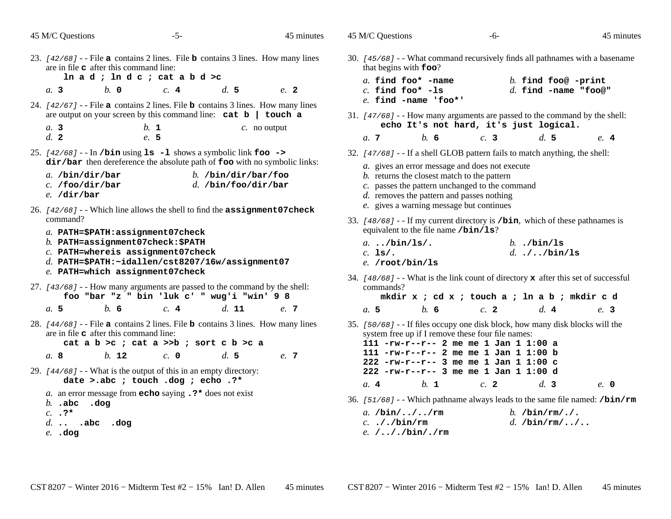|  |  | 45 M/C Questions |  |
|--|--|------------------|--|
|--|--|------------------|--|

45 M/C Questions

45 minutes

- $-5-$  45 23. [42/68] --File **<sup>a</sup>** contains 2 lines. File **<sup>b</sup>** contains 3 lines. How many lines are in file **<sup>c</sup>** after this command line: **ln a d ; ln d c ; cat a b d >c***a.* **3** *b.* **<sup>0</sup>** *c.* **<sup>4</sup>** *d.* **<sup>5</sup>** *e.* **<sup>2</sup>** 24. [42/67] --File **<sup>a</sup>** contains 2 lines. File **<sup>b</sup>** contains 3 lines. How many lines are output on your screen by this command line: **cat b | touch a***a.* **3** *b.* **<sup>1</sup>** *c.* no output *d.* **<sup>2</sup>** *e.* **<sup>5</sup>** 25. [42/68] --In **/bin** using **ls -l** shows a symbolic link **foo -> dir/bar** then dereference the absolute path of **foo** with no symbolic links: *a.* **/bin/dir/bar** *b.* **/bin/dir/bar/foo** *c.* **/foo/dir/bar** *d.* **/bin/foo/dir/bar** *e.* **/dir/bar**26. [42/68] --Which line allows the shell to find the **assignment07check**command?*a.* **PATH=\$PATH:assignment07check** *b.* **PATH=assignment07check:\$PATH** *c.* **PATH=whereis assignment07check** *d.* **PATH=\$PATH:~idallen/cst8207/16w/assignment07***e.* **PATH=which assignment07check**27. [43/68] --How many arguments are passed to the command by the shell: **foo "bar "z " bin 'luk c' " wug'i "win' 9 8***a.* **5** *b.* **<sup>6</sup>** *c.* **<sup>4</sup>** *d.* **<sup>11</sup>** *e.* **<sup>7</sup>** 28. [44/68] --File **<sup>a</sup>** contains 2 lines. File **<sup>b</sup>** contains 3 lines. How many lines are in file **<sup>c</sup>** after this command line: **cat a b >c ; cat a >>b ; sort c b >c a***a.* **8** *b.* **<sup>12</sup>** *c.* **<sup>0</sup>** *d.* **<sup>5</sup>** *e.* **<sup>7</sup>** 29.  $[44/68]$  - What is the output of this in an empty directory: **date >.abc ; touch .dog ; echo .?\*** *a.* an error message from **echo** saying **.?\*** does not exist *b.* **.abc .dog***c.* **.?\*** *d.* **.. .abc .dog***e.* **.dog***e.* **/.././bin/./rm**
	- 30. [45/68] --What command recursively finds all pathnames with a basename that begins with **foo**? *a.* **find foo\* -name** *b.* **find foo@ -print** *c.* **find foo\* -ls** *d.* **find -name "foo@"** *e.* **find -name 'foo\*'**31. [47/68] --How many arguments are passed to the command by the shell: **echo It's not hard, it's just logical.***a.* **<sup>7</sup>** *b.* **<sup>6</sup>** *c.* **<sup>3</sup>** *d.* **<sup>5</sup>** *e.* **<sup>4</sup>** 32. [47/68] - - If <sup>a</sup> shell GLOB pattern fails to match anything, the shell: *a.* gives an error message and does not execute*b.* returns the closest match to the pattern *c.* passes the pattern unchanged to the command*d.* removes the pattern and passes nothing*e*. gives a warning message but continues 33. [48/68] - - If my current directory is **/bin**, which of these pathnames is equivalent to the file name **/bin/ls**? *a.* **../bin/ls/.** *b.* **./bin/ls** *c.* **ls/.** *d.* **./../bin/ls** *e.* **/root/bin/ls**34. [48/68] --What is the link count of directory **<sup>x</sup>** after this set of successful commands? **mkdir x ; cd x ; touch a ; ln a b ; mkdir c d***a.* **5** *b.* **<sup>6</sup>** *c.* **<sup>2</sup>** *d.* **<sup>4</sup>** *e.* **<sup>3</sup>** 35. [50/68] - - If files occupy one disk block, how many disk blocks will the system free up if I remove these four file names: **111 -rw-r--r-- 2 me me 1 Jan 1 1:00 a 111 -rw-r--r-- 2 me me 1 Jan 1 1:00 b 222 -rw-r--r-- 3 me me 1 Jan 1 1:00 c 222 -rw-r--r-- 3 me me 1 Jan 1 1:00 d***a.* **<sup>4</sup>** *b.* **<sup>1</sup>** *c.* **<sup>2</sup>** *d.* **<sup>3</sup>** *e.* **<sup>0</sup>** 36. [51/68] --Which pathname always leads to the same file named: **/bin/rm***a.* **/bin/../../rm** *b.* **/bin/rm/./.** *c.* **././bin/rm***d.* **/bin/rm/../..**

CST 8207 <sup>−</sup> Winter 2016 − Midterm Test #2 − 15% Ian! D. Allen 45 minutes CST 8207 <sup>−</sup> Winter 2016 − Midterm Test #2 − 15% Ian! D. Allen 45 minutes